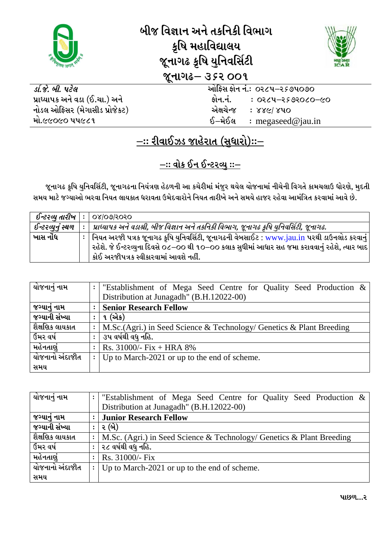

## બીજ વિજ્ઞાન અને તકનિકી વિભાગ કૃષિ મહાવિદ્યાલય જૂનાગઢ કૃષિ યુનિવર્સિટી **भूनागढ- उ** ५२ 00१



ઓફિસ ફોન નં.: ૦૨૮૫–૨૬૭૫૦૭૦ કોન.નં.  $0.00000000 - 0.0000$ એક્ષચેન્જ : 88G/840 ઈ—મેઈલ  $:$  megaseed@jau.in

ડા.જે. બી. પટેલ પ્રાધ્યાપક અને વડા (ઈ.ચા.) અને નોડલ ઓફિસર (મેગાસીડ પ્રોજેકટ) મો.૯૯૦૯૦ ૫૫૯૮૧

## <u>–:: રીવાઈઝડ જાહેરાત (સુધારો)::–</u>

## <u> -:: વોક ઈન ઈન્ટરવ્યુ ::-</u>

જૂનાગઢ કૃષિ યુનિવર્સિટી, જૂનાગઢના નિયંત્રણ હેઠળની આ કચેરીમાં મંજુર થયેલ યોજનામાં નીચેની વિગતે કામચલાઉ ધોરણે, મુદતી સમય માટે જગ્યાઓ ભરવા નિયત લાયકાત ધરાવતા ઉમેદવારોને નિયત તારીખે અને સમયે હાજર રહેવા આમંત્રિત કરવામાં આવે છે.

| ઈન્ટરવ્યુ તારીખ   | 08/09/5050                                                                                                                                                                                                                                  |
|-------------------|---------------------------------------------------------------------------------------------------------------------------------------------------------------------------------------------------------------------------------------------|
| ઈન્ટરવ્યુનું સ્થળ | પ્રાધ્યાપક અને વડાશ્રી, બીજ વિજ્ઞાન અને તકનિકી વિભાગ, જૂનાગઢ કૃષિ યુનિવર્સિટી, જૂનાગઢ.                                                                                                                                                      |
| ખાસ નોંધ          | ∣ નિયત અરજી પત્રક જૂનાગઢ ક્રષિ યુનિવર્સિટી, જૂનાગઢની વેબસાઈટ : www.jau.in પરથી ડાઉનલોડ કરવાનું ∣<br>રહેશે. જે ઈન્ટરવ્યુના દિવસે ૦૮–૦૦ થી ૧૦–૦૦ કલાક સુધીમાં આધાર સહ જમા કરાવવાનું રહેશે, ત્યાર બાદ<br>કોઈ અરજીપત્રક સ્વીકારવામાં આવશે નહીં. |

| યોજનાનું નામ    | :                    | "Establishment of Mega Seed Centre for Quality Seed Production &      |
|-----------------|----------------------|-----------------------------------------------------------------------|
|                 |                      | Distribution at Junagadh" (B.H.12022-00)                              |
| જગ્યાનું નામ    | $\ddot{\phantom{a}}$ | <b>Senior Research Fellow</b>                                         |
| જગ્યાની સંખ્યા  | $\ddot{\cdot}$       | ૧ (એક)                                                                |
| શૈક્ષણિક લાયકાત | $\ddot{\cdot}$       | M.Sc. (Agri.) in Seed Science & Technology/ Genetics & Plant Breeding |
| ઉમર વર્ષ        | $\ddot{\cdot}$       | ૩પ વર્ષથી વધુ નહિ.                                                    |
| મહેનતાણં        | $\ddot{\cdot}$       | Rs. $31000/- Fix + HRA 8%$                                            |
| યોજનાનો અંદાજીત | $\ddot{\cdot}$       | Up to March-2021 or up to the end of scheme.                          |
| સમય             |                      |                                                                       |

| યોજનાનું નામ           | $\ddot{\cdot}$ | "Establishment of Mega Seed Centre for Quality Seed Production $\&$   |
|------------------------|----------------|-----------------------------------------------------------------------|
|                        |                | Distribution at Junagadh" (B.H.12022-00)                              |
| જગ્યાનું નામ           | $\ddot{\cdot}$ | <b>Junior Research Fellow</b>                                         |
| જગ્યાની સંખ્યા         | $\ddot{\cdot}$ | ૨ (બે)                                                                |
| શૈેક્ષણિક લાયકાત       | $\ddot{\cdot}$ | M.Sc. (Agri.) in Seed Science & Technology/ Genetics & Plant Breeding |
| ઉમર વર્ષ               | $\ddot{\cdot}$ | ૨૮ વર્ષથી વધુ નહિ.                                                    |
| મહેનતાણું              | $\ddot{\cdot}$ | Rs. 31000/- Fix                                                       |
| <u>યોજનાનો અંદાજીત</u> | $\ddot{\cdot}$ | Up to March-2021 or up to the end of scheme.                          |
| સમય                    |                |                                                                       |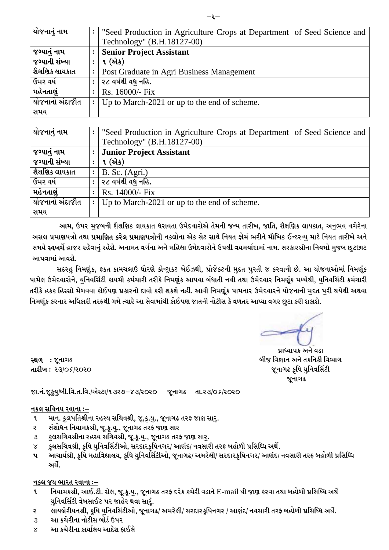| <u>યો</u> જનાનું નામ | $\ddot{\cdot}$ | "Seed Production in Agriculture Crops at Department of Seed Science and |
|----------------------|----------------|-------------------------------------------------------------------------|
|                      |                | Technology" (B.H.18127-00)                                              |
| જગ્યાનું નામ         |                | <b>Senior Project Assistant</b>                                         |
| જગ્યાની સંખ્યા       | ٠              | ૧ (એક)                                                                  |
| શેેક્ષણિક લાયકાત     | $\ddot{\cdot}$ | Post Graduate in Agri Business Management                               |
| ઉમર વર્ષ             | $\ddot{\cdot}$ | ર૮ વર્ષથી વધુ નહિ.                                                      |
| મહેનતાણું            | $\ddot{\cdot}$ | Rs. 16000/- Fix                                                         |
| યોજનાનો અંદાજીત      | $\mathbf{L}$   | Up to March-2021 or up to the end of scheme.                            |
| સમય                  |                |                                                                         |

| યોજનાનું નામ    | $\ddot{\cdot}$ | "Seed Production in Agriculture Crops at Department of Seed Science and |
|-----------------|----------------|-------------------------------------------------------------------------|
|                 |                | Technology" (B.H.18127-00)                                              |
| જગ્યાનું નામ    |                | <b>Junior Project Assistant</b>                                         |
| જગ્યાની સંખ્યા  | $\ddot{\cdot}$ | ૧ (એક)                                                                  |
| શૈક્ષણિક લાયકાત | $\ddot{\cdot}$ | $B.$ Sc. (Agri.)                                                        |
| ઉમર વર્ષ        | $\ddot{\cdot}$ | ૨૮ વર્ષથી વધ નહિ.                                                       |
| મહેનતાણં        | $\ddot{\cdot}$ | Rs. 14000/- Fix                                                         |
| યોજનાનો અંદાજીત | $\ddot{\cdot}$ | Up to March-2021 or up to the end of scheme.                            |
| સમય             |                |                                                                         |

આમ, ઉપર મુજબની શૈક્ષણિક લાયકાત ધરાવતા ઉમેદવારોએ તેમની જન્મ તારીખ, જાતિ, શૈક્ષણિક લાયકાત, અનુભવ વગેરેના અસલ પ્રમાણપત્રો તથા **પ્રમાણિત કરેલ પ્રમાણપત્રોની** નકલોના એક સેટ સાથે નિયત ફોર્મ ભરીને મૌખિક ઈન્ટરવ્યુ માટે નિયત તારીખે અને સમયે **સ્વખર્ચે** હાજર રહેવાનં રહેશે. અનામત વર્ગના અને મહિલા ઉમેદવારોને ઉપલી વયમર્યાદામાં નામ. સરકારશ્રીના નિયમો મજબ છટછાટ આપવામાં આવશે.

સદરહ નિમણંક, ફકત કામચલાઉ ધોરણે કોન્ટાકટ બેઈઝથી, પ્રોજેકટની મદત પરતી જ કરવાની છે. આ યોજનાઓમાં નિમણુંક પામેલ ઉમેદવારોને, યુનિવર્સિટી કાયમી કર્મચારી તરીકે નિમણુંક આપવા બંધાતી નથી તથા ઉમેદવાર નિમણુંક મળ્યેથી, યુનિવર્સિટી કર્મચારી તરીકે હકક હિસ્સો મેળવવા કોઈપણ પ્રકારનો દાવો કરી શકશે નહીં. આવી નિમણુંક પામનાર ઉમેદવારને યોજનાની મદત પરી થયેથી અથવા નિમ<u>ર્ણુ</u>ક કરનાર અધિકારી તરફથી ગમે ત્યારે આ સેવામાંથી કોઈપણ જાતની નોટીસ કે વળતર આપ્યા વગર છુટા કરી શકાશે.

પ્રાધ્યાપક અને વડા <u>બીજ વિજ્ઞાન અને તકનિકી વિભાગ</u> *H}GFU- S'lQF I]lGJl;"8L*   $\alpha$ નાગઢ

**સ્થળ :** જૂનાગઢ  $dI2w: 23/05/2020$ 

 *HFPG\PH}S'I]qALPlJPTPlJPqV[:8Fq!#Z\*v\$#qZ\_Z\_ H}GFU- TFPZ#q\_&qZ\_Z\_* 

#### <u>નકલ સવિનય રવાના ઃ–</u>

- ૧ માન. કુલપતિશ્રીના રહસ્ય સચિવશ્રી, જૂ.કૃ.યુ., જૂનાગઢ તરફ જાણ સારુ.
- *Z*  <u>સંશોધન નિયામકશ્રી, જૂ.કૂ.યુ., જૂનાગઢ તરફ જાણ સાર</u>
- $\mathcal{A}$ કુલસચિવશ્રીના રહસ્ય સચિવશ્રી, જૂ.કૃ.યુ., જૂનાગઢ તરફ જાણ સા<u>ર</u>ૃ.
- $8$  *કુ*લસચિવશ્રી, કુષિ યનિવર્સિટીઓ, સરદારકુષિનગર/ આણંદ/ નવસારી તરફ બહોળી પ્રસિધ્ધિ અર્થે.
- પ આચાર્યશ્રી, કૃષિ મહાવિદ્યાલય, કૃષિ યનિવર્સિટીઓ, જુનાગઢ/ અમરેલી/ સરદારકુષિનગર/ આણંદ/ નવસારી તરફ બહોળી પ્રસિધ્ધિ <u>અર્થે.</u>

#### *GS, HI EFZT ZJFGF ov*

- *! lGIFDSzL4 VF.P8LP ;[,4 H}PS'PI]P4 H}GFU- TZO NZ[S SR[ZL J0FG[* E-mail *YL HF6 SZJF TYF ACM/L 5|l;lwW VY["*  **યુનિવર્સિટી વેબસાઈટ પર જાહેર થવા સારું.**
- ર લાયબ્રેરીયનશ્રી, કૃષિ <u>યુ</u>નિવર્સિટીઓ, જૂનાગઢ/ અમરેલી/ સરદારકૃષિનગર / આણંદ/ નવસારી તરફ બહોળી પ્રસિધ્ધિ અર્થે.
- $3$  બા કચેરીના નોટીસ બોર્ડ ઉપર
- $\times$  આ કચેરીના કાર્યાલય આદેશ કાઈલે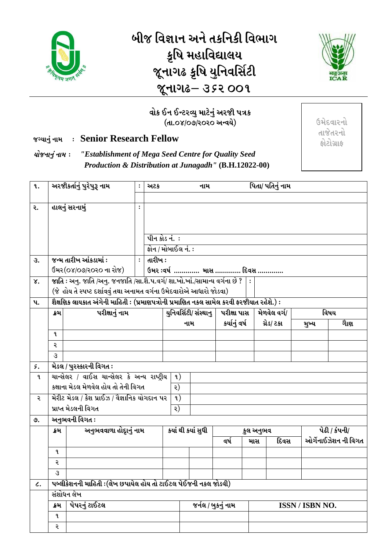

<u>બીજ વિજ્ઞાન અને તકનિકી વિભાગ</u> કૃષિ મહાવિદ્યાલય *H}GFU- S'lQF I]lGJl;"8L*  જૂનાગઢ– ૩*૬*૨ ૦૦૧



### વોક ઈન ઈન્ટરવ્યુ માટેનું અરજી પત્રક (તા.o*x*/o૭/૨૦૨૦ અન્વયે)

*HuIFG] \ GFD o* **Senior Research Fellow** 

*IMHGFG] \ GFD o "Establishment of Mega Seed Centre for Quality Seed Production & Distribution at Junagadh"* **(B.H.12022-00)**   $6$ મેદવારનો *<i>THg*  $\frac{1}{2}$ *OM8MU|FO*

| <b>q.</b>       |      | અરજીકર્તાનું પુરેપુરૂ નામ                                                                                                                                           | $\ddot{\cdot}$ | અટક            |                      | નામ                   |               |                  | પિતા/ પતિનું નામ |                 |                                              |
|-----------------|------|---------------------------------------------------------------------------------------------------------------------------------------------------------------------|----------------|----------------|----------------------|-----------------------|---------------|------------------|------------------|-----------------|----------------------------------------------|
| ૨.              |      | હાલનું સરનામું                                                                                                                                                      | $\ddot{\cdot}$ |                |                      |                       |               |                  |                  |                 |                                              |
|                 |      |                                                                                                                                                                     |                |                |                      |                       |               |                  |                  |                 |                                              |
|                 |      |                                                                                                                                                                     |                |                |                      |                       |               |                  |                  |                 |                                              |
|                 |      |                                                                                                                                                                     |                |                | <u>પીન કોડ નં. :</u> |                       |               |                  |                  |                 |                                              |
|                 |      |                                                                                                                                                                     |                |                | ફોન / મોબાઈલ નં. :   |                       |               |                  |                  |                 |                                              |
| उ.              |      | જન્મ તારીખ આંકડામાં :                                                                                                                                               | $\ddot{\cdot}$ | તારીખ $\colon$ |                      |                       |               |                  |                  |                 |                                              |
|                 |      | ઉંમર(૦૪/૦૭/૨૦૨૦ ના રોજ)                                                                                                                                             |                |                |                      | ઉમર :વર્ષ  માસ  દિવસ  |               |                  |                  |                 |                                              |
| γ.              |      | <mark>જાતિ</mark> : અનુ. જાતિ /અનુ. જનજાતિ /સા.શૈ.પ.વર્ગ/ શા.ખો.ખાં./સામાન્ય વર્ગના છે ?   :<br>(જે હોય તે સ્પષ્ટ દર્શાવવું તથા અનામત વર્ગના ઉમેદવારોએ આધારો જોડવા) |                |                |                      |                       |               |                  |                  |                 |                                              |
| $\mathbf{u}$ .  |      | શૈક્ષણિક લાયકાત અંગેની માહિતી : (પ્રમાણપત્રોની પ્રમાણિત નકલ સામેલ કરવી ફરજીયાત રહેશે.) :                                                                            |                |                |                      |                       |               |                  |                  |                 |                                              |
|                 | ક્રમ | પરીક્ષાનું નામ                                                                                                                                                      |                |                |                      | युनिवर्सिटी/ संस्थानु | પરીક્ષા પાસ   |                  | મેળવેલ વર્ગ/     |                 | વિષય                                         |
|                 |      |                                                                                                                                                                     |                |                |                      | નામ                   | કર્યાનું વર્ષ |                  | ગ્રેડ/ ટકા       | મુખ્ય           | ગાેણ                                         |
|                 | ۹.   |                                                                                                                                                                     |                |                |                      |                       |               |                  |                  |                 |                                              |
|                 | २    |                                                                                                                                                                     |                |                |                      |                       |               |                  |                  |                 |                                              |
|                 | 3    |                                                                                                                                                                     |                |                |                      |                       |               |                  |                  |                 |                                              |
| ς.              |      | મેડલ / પુરસ્કારની વિગત :                                                                                                                                            |                |                |                      |                       |               |                  |                  |                 |                                              |
| L               |      | ચાન્સેલર / વાઈસ ચાન્સેલર કે અન્ય રાષ્ટ્રીય                                                                                                                          |                |                | 9)                   |                       |               |                  |                  |                 |                                              |
|                 |      | કક્ષાના મેડલ મેળવેલ હોય તો તેની વિગત                                                                                                                                |                |                | ૨)                   |                       |               |                  |                  |                 |                                              |
| २               |      | મેરીટ મેડલ / કેશ પ્રાઈઝ / વૈજ્ઞાનિક યોગદાન પર                                                                                                                       |                |                | $\mathfrak{q}$ )     |                       |               |                  |                  |                 |                                              |
|                 |      | પ્રાપ્ત મેડલની વિગત                                                                                                                                                 |                |                | ર)                   |                       |               |                  |                  |                 |                                              |
| ৩.              |      | અનુભવની વિગત :                                                                                                                                                      |                |                |                      |                       |               |                  |                  |                 |                                              |
|                 | ક્રમ | અનુભવવાળા હોદાનું નામ                                                                                                                                               |                |                |                      | કયાં થી કયાં સુધી     | વર્ષ          | કુલ અનુભવ<br>માસ | દિવસ             |                 | <u>પેઢી / કંપની/</u><br>ઓર્ગેનાઈઝેશન ની વિગત |
|                 | L    |                                                                                                                                                                     |                |                |                      |                       |               |                  |                  |                 |                                              |
|                 | ૨    |                                                                                                                                                                     |                |                |                      |                       |               |                  |                  |                 |                                              |
|                 | З    |                                                                                                                                                                     |                |                |                      |                       |               |                  |                  |                 |                                              |
| $\mathcal{L}$ . |      | પબ્લીકેશનની માહિતી :(લેખ છપાયેલ હોય તો ટાઈટલ પેઈજની નકલ જોડવી)                                                                                                      |                |                |                      |                       |               |                  |                  |                 |                                              |
|                 |      | સંશોધન લેખ                                                                                                                                                          |                |                |                      |                       |               |                  |                  |                 |                                              |
|                 | ક્રમ | પેપરનું ટાઈટલ                                                                                                                                                       |                |                |                      | જર્નલ / બુકનું નામ    |               |                  |                  | ISSN / ISBN NO. |                                              |
|                 | L    |                                                                                                                                                                     |                |                |                      |                       |               |                  |                  |                 |                                              |
|                 | ર    |                                                                                                                                                                     |                |                |                      |                       |               |                  |                  |                 |                                              |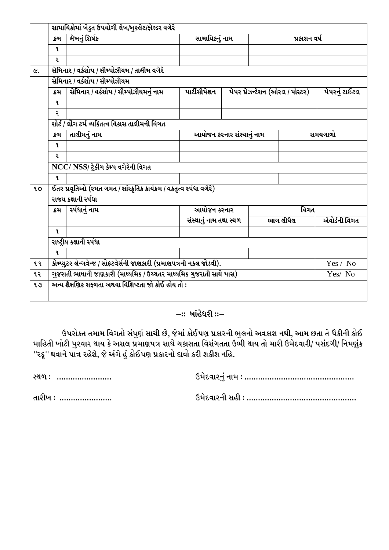|           | ક્રમ         | લેખનું શિર્ષક                                                          | સામાયિકનું નામ         |                           |                                 | પ્રકાશન વર્ષ |               |
|-----------|--------------|------------------------------------------------------------------------|------------------------|---------------------------|---------------------------------|--------------|---------------|
|           | ٩.           |                                                                        |                        |                           |                                 |              |               |
|           | ર            |                                                                        |                        |                           |                                 |              |               |
| <b>と。</b> |              | સેમિનાર / વર્કશોપ / સીમ્પોઝીયમ / તાલીમ વગેરે                           |                        |                           |                                 |              |               |
|           |              | સેમિનાર / વર્કશોપ / સીમ્પોઝીયમ                                         |                        |                           |                                 |              |               |
|           |              |                                                                        |                        |                           |                                 |              |               |
|           | ક્રમ         | સેમિનાર / વર્કશોપ / સીમ્પોઝીયમનું નામ                                  | પાર્ટીસીપેશન           |                           | પેપર પ્રેઝન્ટેશન (ઓરલ / પોસ્ટર) |              | પેપરનું ટાઈટલ |
|           | $\mathbf{q}$ |                                                                        |                        |                           |                                 |              |               |
|           | २            |                                                                        |                        |                           |                                 |              |               |
|           |              | શોર્ટ / લોંગ ટર્મ વ્યક્તિત્વ વિકાસ તાલીમની વિગત                        |                        |                           |                                 |              |               |
|           | ક્રમ         | તાલીમનું નામ                                                           |                        | આયોજન કરનાર સંસ્થાનું નામ |                                 |              | સમયગાળો       |
|           | L            |                                                                        |                        |                           |                                 |              |               |
|           | २            |                                                                        |                        |                           |                                 |              |               |
|           |              | NCC/ NSS/ ટ્રેકીંગ કેમ્પ વગેરેની વિગત                                  |                        |                           |                                 |              |               |
|           | 9.           |                                                                        |                        |                           |                                 |              |               |
| <b>10</b> |              | ઈતર પ્રવૃતિઓ (રમત ગમત / સાંસ્કૃતિક કાર્યક્રમ / વકતૃત્વ સ્પંધા વગેરે)   |                        |                           |                                 |              |               |
|           |              | રાજય કક્ષાની ર્સ્પધા                                                   |                        |                           |                                 |              |               |
|           | ક્રમ         | ર્સ્પદ્યાનું નામ                                                       | આયોજન કરનાર            |                           |                                 | વિગત         |               |
|           |              |                                                                        | સંસ્થાનું નામ તથા સ્થળ |                           | ભાગ લીધેલ                       |              | એવોર્ડની વિગત |
|           | 9.           |                                                                        |                        |                           |                                 |              |               |
|           |              | રાષ્ટ્રીય કક્ષાની ર્સ્પધા                                              |                        |                           |                                 |              |               |
|           | ٩.           |                                                                        |                        |                           |                                 |              |               |
| <b>qq</b> |              | કોમ્પ્યુટર લેન્ગવેન્જ / સોફ્ટવેર્સની જાણકારી (પ્રમાણપત્રની નકલ જોડવી). |                        |                           |                                 |              | Yes / No      |
| ૧૨        |              | ગુજરાતી ભાષાની જાણકારી (માધ્યમિક / ઉચ્ચતર માધ્યમિક ગુજરાતી સાથે પાસ)   |                        |                           |                                 |              | Yes/ No       |
| 13        |              | અન્ય શૈક્ષણિક સકળતા અથવા વિશિષ્ટતા જો કોઈ હોય તો :                     |                        |                           |                                 |              |               |

### $-$  :: બાંહેધરી **::**-

ઉપરોકત તમામ વિગતો સંપુર્ણ સાચી છે, જેમાં કોઈપણ પ્રકારની ભુલનો અવકાશ નથી, આમ છતા તે પૈકીની કોઈ માહિતી ખોટી પુરવાર થાય કે અસલ પ્રમાણપત્ર સાથે ચકાસતા વિસંગતતા ઉભી થાય તો મારી ઉમેદવારી/ પસંદગી/ નિમણુંક ''રદ્દ'' થવાને પાત્ર રહેશે, જે અંગે હું કોઈપણ પ્રકારનો દાવો કરી શકીશ નહિ.

| રચળ : ……………………   |  |
|------------------|--|
| તારીખ ઃ …………………… |  |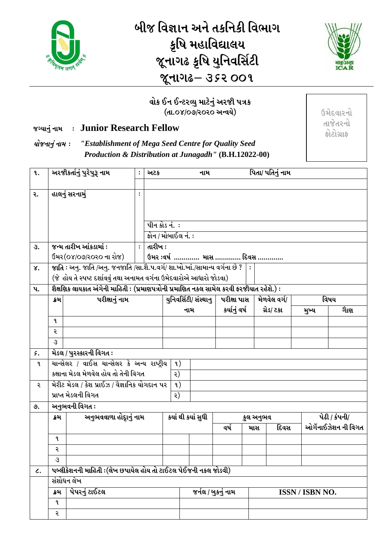

# *ALH lJ7FG VG[ TSlGSL lJEFU*  કૃષિ મહાવિદ્યાલય *H}GFU- S'lQF I]lGJl;"8L*  જૂનાગઢ– 352 OO 9



#### વોક ઈન ઈન્ટરવ્યુ માટેનું અરજી પત્રક *(dl.08/09/2020 અન્વયે)*

### *HuIFG] \ GFD o* **Junior Research Fellow**

*IMHGFG] \ GFD o "Establishment of Mega Seed Centre for Quality Seed Production & Distribution at Junagadh"* **(B.H.12022-00)** 

| ૧.              |      | અરજીકર્તાનું પુરેપુરૂ નામ                                                                                  | $\ddot{\cdot}$ | અટક     |                            | નામ                   |               | પિતા/ પતિનું નામ |      |                 |                      |
|-----------------|------|------------------------------------------------------------------------------------------------------------|----------------|---------|----------------------------|-----------------------|---------------|------------------|------|-----------------|----------------------|
| ૨.              |      | હાલનું સરનામું                                                                                             | $\ddot{\cdot}$ |         |                            |                       |               |                  |      |                 |                      |
|                 |      |                                                                                                            |                |         | <u>પીન કોડ નં.  :</u>      |                       |               |                  |      |                 |                      |
|                 |      |                                                                                                            |                |         | <u> ફોન / મોબાઈલ નં. :</u> |                       |               |                  |      |                 |                      |
| З.              |      | જન્મ તારીખ આંકડામાં :                                                                                      | $\ddot{\cdot}$ | તારીખ : |                            |                       |               |                  |      |                 |                      |
|                 |      | ઉંમર(૦૪/૦૭/૨૦૨૦ ના રોજ)                                                                                    |                |         | ઉમર :વર્ષ  માસ  દિવસ       |                       |               |                  |      |                 |                      |
| γ.              |      | જાતિ : અનુ. જાતિ /અનુ. જનજાતિ /સા.શૈ.પ.વર્ગ/ શા.ખો.ખાં./સામાન્ય વર્ગના છે ?   :                            |                |         |                            |                       |               |                  |      |                 |                      |
|                 |      | (જે હોય તે સ્પષ્ટ દર્શાવવું તથા અનામત વર્ગના ઉમેદવારોએ આધારો જોડવા)                                        |                |         |                            |                       |               |                  |      |                 |                      |
| $\mathbf{u}$ .  | ક્રમ | શૈક્ષણિક લાયકાત અંગેની માહિતી : (પ્રમાણપત્રોની પ્રમાણિત નકલ સામેલ કરવી ફરજીયાત રહેશે.) :<br>પરીક્ષાનું નામ |                |         |                            | युनिवर्सिटी/ संस्थानु | પરીક્ષા પાસ   | મેળવેલ વર્ગ/     |      |                 | વિષય                 |
|                 |      |                                                                                                            |                |         |                            | નામ                   | કર્યાનું વર્ષ | ગ્રેડ/ ટકા       |      | મુખ્ય           | ગાેણ                 |
|                 | L    |                                                                                                            |                |         |                            |                       |               |                  |      |                 |                      |
|                 | ૨    |                                                                                                            |                |         |                            |                       |               |                  |      |                 |                      |
|                 | 3    |                                                                                                            |                |         |                            |                       |               |                  |      |                 |                      |
| ۶.              |      | મેડલ / પુરસ્કારની વિગત :                                                                                   |                |         |                            |                       |               |                  |      |                 |                      |
| ૧               |      | ચાન્સેલર / વાઈસ ચાન્સેલર કે અન્ય રાષ્ટ્રીય                                                                 |                |         | $\mathfrak{q}$ )           |                       |               |                  |      |                 |                      |
|                 |      | કક્ષાના મેડલ મેળવેલ હોય તો તેની વિગત                                                                       |                |         | ર)                         |                       |               |                  |      |                 |                      |
| २               |      | મેરીટ મેડલ / કેશ પ્રાઈઝ / વૈજ્ઞાનિક યોગદાન પર<br>પ્રાપ્ત મેડલની વિગત                                       |                |         | $\mathfrak{q}$ )           |                       |               |                  |      |                 |                      |
| ৩.              |      | અનુભવની વિગત :                                                                                             |                |         | ર)                         |                       |               |                  |      |                 |                      |
|                 | ક્રમ | અનુભવવાળા હોદૃાનું નામ                                                                                     |                |         | કયાં થી કયાં સુધી          |                       |               | કુલ અનુભવ        |      |                 | પેઢી / કંપની/        |
|                 |      |                                                                                                            |                |         |                            |                       | વર્ષ          | માસ              | દિવસ |                 | ઓર્ગેનાઈઝેશન ની વિગત |
|                 | L    |                                                                                                            |                |         |                            |                       |               |                  |      |                 |                      |
|                 | ર    |                                                                                                            |                |         |                            |                       |               |                  |      |                 |                      |
|                 | З    |                                                                                                            |                |         |                            |                       |               |                  |      |                 |                      |
| $\mathcal{L}$ . |      | પબ્લીકેશનની માહિતી :(લેખ છપાયેલ હોય તો ટાઈટલ પેઈજની નકલ જોડવી)                                             |                |         |                            |                       |               |                  |      |                 |                      |
|                 |      | સંશોધન લેખ                                                                                                 |                |         |                            |                       |               |                  |      |                 |                      |
|                 | ક્રમ | પેપરનું ટાઈટલ                                                                                              |                |         |                            | જર્નલ / બુકનું નામ    |               |                  |      | ISSN / ISBN NO. |                      |
|                 | L    |                                                                                                            |                |         |                            |                       |               |                  |      |                 |                      |
|                 | ર    |                                                                                                            |                |         |                            |                       |               |                  |      |                 |                      |

 $6$ મેદવારનો તાજેતરનો *OM8MU|FO*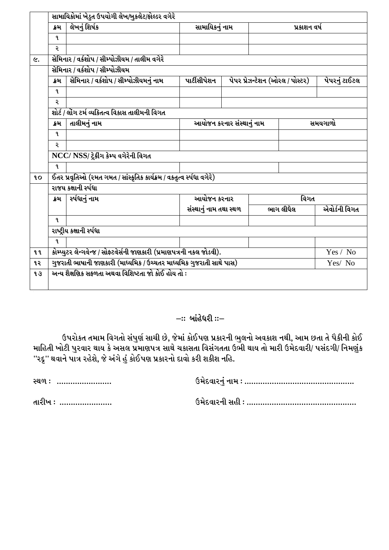|           | ક્રમ         | લેખનું શિર્ષક                                                          | સામાયિકનું નામ         |                                   |                                 | પ્રકાશન વર્ષ |               |
|-----------|--------------|------------------------------------------------------------------------|------------------------|-----------------------------------|---------------------------------|--------------|---------------|
|           | L            |                                                                        |                        |                                   |                                 |              |               |
|           | ર            |                                                                        |                        |                                   |                                 |              |               |
|           |              | સેમિનાર / વર્કશોપ / સીમ્પોઝીયમ / તાલીમ વગેરે                           |                        |                                   |                                 |              |               |
|           |              | સેમિનાર / વર્કશોપ / સીમ્પોઝીયમ                                         |                        |                                   |                                 |              |               |
|           | ક્રમ         | સેમિનાર / વર્કશોપ / સીમ્પોઝીયમનું નામ                                  | પાર્ટીસીપેશન           |                                   | પેપર પ્રેઝન્ટેશન (ઓરલ / પોસ્ટર) |              | પેપરનું ટાઈટલ |
|           | $\mathbf{q}$ |                                                                        |                        |                                   |                                 |              |               |
|           | ર            |                                                                        |                        |                                   |                                 |              |               |
|           |              | શોર્ટ / લોંગ ટર્મ વ્યક્તિત્વ વિકાસ તાલીમની વિગત                        |                        |                                   |                                 |              |               |
|           | ક્રમ         | તાલીમનું નામ                                                           |                        | આયોજન કરનાર સંસ્થ <u>ાનું</u> નામ |                                 |              | સમયગાળો       |
|           | $\mathbf{q}$ |                                                                        |                        |                                   |                                 |              |               |
|           | ર            |                                                                        |                        |                                   |                                 |              |               |
|           |              | NCC/ NSS/ ટ્રેકીંગ કેમ્પ વગેરેની વિગત                                  |                        |                                   |                                 |              |               |
|           | ٩.           |                                                                        |                        |                                   |                                 |              |               |
| <b>LO</b> |              | ઈતર પ્રવૃતિઓ (રમત ગમત / સાંસ્કૃતિક કાર્યક્રમ / વકતૃત્વ સ્પંધા વગેરે)   |                        |                                   |                                 |              |               |
|           |              | રાજય કક્ષાની ર્સ્પધા                                                   |                        |                                   |                                 |              |               |
|           | ક્રમ         | ર્સ્પધાનું નામ                                                         | આયોજન કરનાર            |                                   |                                 | વિગત         |               |
|           |              |                                                                        |                        |                                   | ભાગ લીધેલ                       |              | એવોર્ડની વિગત |
|           |              |                                                                        | સંસ્થાનું નામ તથા સ્થળ |                                   |                                 |              |               |
|           | ٩.           |                                                                        |                        |                                   |                                 |              |               |
|           |              | રાષ્ટ્રીય કક્ષાની ર્સ્પધા                                              |                        |                                   |                                 |              |               |
|           | 9.           |                                                                        |                        |                                   |                                 |              |               |
| <b>99</b> |              | કોમ્પ્યુટર લેન્ગવેન્જ / સોફ્ટવેર્સની જાણકારી (પ્રમાણપત્રની નકલ જોડવી). |                        |                                   |                                 |              | Yes / No      |
| ૧૨        |              | ગુજરાતી ભાષાની જાણકારી (માધ્યમિક / ઉચ્ચતર માધ્યમિક ગુજરાતી સાથે પાસ)   |                        |                                   |                                 |              | Yes/ No       |

#### *–*:: બાંહેધરી ::–

ઉપરોકત તમામ વિગતો સંપુર્ણ સાચી છે, જેમાં કોઈપણ પ્રકારની ભુલનો અવકાશ નથી, આમ છતા તે પૈકીની કોઈ માહિતી ખોટી પુરવાર થાય કે અસલ પ્રમાણપત્ર સાથે ચકાસતા વિસંગતતા ઉભી થાય તો મારી ઉમેદવારી/ પસંદગી/ નિમણુંક ્…્…<br>''રદ્દુ'' થવાને પાત્ર રહેશે, જે અંગે હું કોઈપણ પ્રકારનો દાવો કરી શકીશ નહિ.

*:Y/ o PPPPPPPPPPPPPPPPPPPPPPPP pD[NJFZG]\ GFD o PPPPPPPPPPPPPPPPPPPPPPPPPPPPPPPPPPPPPPPPPPPPPPPP*

*TFZLB o PPPPPPPPPPPPPPPPPPPPPPP pD[NJFZGL ;CL o PPPPPPPPPPPPPPPPPPPPPPPPPPPPPPPPPPPPPPPPPPPPPPPP*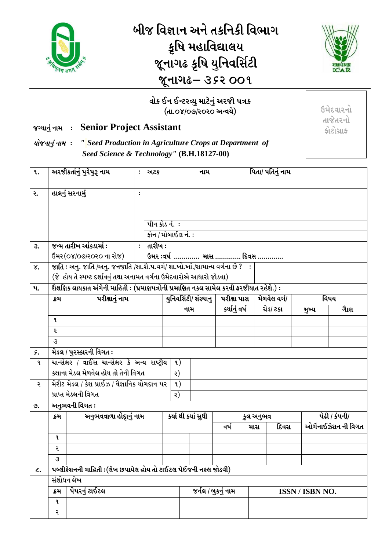

# <u>બીજ વિજ્ઞાન અને તકનિકી વિભાગ</u> કૃષિ મહાવિદ્યાલય *H}GFU- S'lQF I]lGJl;"8L*  જૂનાગઢ– ૩*૬*૨ ૦૦૧



 $6$ મેદવારનો તાજેતરનો *OM8MU|FO*

### વોક ઈન ઈન્ટરવ્યુ માટેનું અરજી પત્રક *(dl.08/09/2020 અન્વયે)*

### *HuIFG] \ GFD o* **Senior Project Assistant**

*IMHGFG] \ GFD o " Seed Production in Agriculture Crops at Department of Seed Science & Technology"* **(B.H.18127-00)**

| <b>q.</b>       |              | અરજીકર્તાનું પુરેપુરૂ નામ                                                                | $\ddot{\cdot}$ | અટક     |                       | નામ                   |               |     |           | પિતા/ પતિનું નામ |                 |                      |
|-----------------|--------------|------------------------------------------------------------------------------------------|----------------|---------|-----------------------|-----------------------|---------------|-----|-----------|------------------|-----------------|----------------------|
|                 |              |                                                                                          |                |         |                       |                       |               |     |           |                  |                 |                      |
| ૨.              |              | હાલનું સરનામું                                                                           | $\ddot{\cdot}$ |         |                       |                       |               |     |           |                  |                 |                      |
|                 |              |                                                                                          |                |         |                       |                       |               |     |           |                  |                 |                      |
|                 |              |                                                                                          |                |         | <u>પીન કોડ નં.  :</u> |                       |               |     |           |                  |                 |                      |
|                 |              |                                                                                          |                |         | ફોન / મોબાઈલ નં. :    |                       |               |     |           |                  |                 |                      |
| З.              |              | જન્મ તારીખ આંકડામાં :                                                                    | $\ddot{\cdot}$ | તારીખ : |                       |                       |               |     |           |                  |                 |                      |
|                 |              | ઉમર(૦૪/૦૭/૨૦૨૦ ના રોજ)                                                                   |                |         |                       | ઉમર ઃવર્ષ  માસ  દિવસ  |               |     |           |                  |                 |                      |
| γ.              |              | જાતિ : અનુ. જાતિ /અનુ. જનજાતિ /સા.શૈ.પ.વર્ગ/ શા.ખો.ખાં./સામાન્ય વર્ગના છે ?   :          |                |         |                       |                       |               |     |           |                  |                 |                      |
|                 |              | (જે હોય તે સ્પષ્ટ દર્શાવવું તથા અનામત વર્ગના ઉમેદવારોએ આધારો જોડવા)                      |                |         |                       |                       |               |     |           |                  |                 |                      |
| પ.              |              | શૈક્ષણિક લાયકાત અંગેની માહિતી : (પ્રમાણપત્રોની પ્રમાણિત નકલ સામેલ કરવી ફરજીયાત રહેશે.) : |                |         |                       |                       |               |     |           |                  |                 |                      |
|                 | ક્રમ         | પરીક્ષાનું નામ                                                                           |                |         |                       | યુનિવર્સિટી/ સંસ્થાનુ | પરીક્ષા પાસ   |     |           | મેળવેલ વર્ગ/     |                 | વિષય                 |
|                 |              |                                                                                          |                |         |                       | નામ                   | કર્યાનું વર્ષ |     |           | ગ્રેડ/ ટકા       | મુખ્ય           | ગાેણ                 |
|                 | $\mathbf{q}$ |                                                                                          |                |         |                       |                       |               |     |           |                  |                 |                      |
|                 | ૨            |                                                                                          |                |         |                       |                       |               |     |           |                  |                 |                      |
|                 | 3            |                                                                                          |                |         |                       |                       |               |     |           |                  |                 |                      |
| ۶.              |              | મેડલ / પુરસ્કારની વિગત :                                                                 |                |         |                       |                       |               |     |           |                  |                 |                      |
| L               |              | <u>ચાન્સેલર / વાઈસ ચાન્સેલર કે અન્ય રાષ્ટ્રીય</u>                                        |                |         | $\mathfrak{q}$ )      |                       |               |     |           |                  |                 |                      |
|                 |              | કક્ષાના મેડલ મેળવેલ હોય તો તેની વિગત                                                     |                |         | ર)                    |                       |               |     |           |                  |                 |                      |
| २               |              | મેરીટ મેડલ / કેશ પ્રાઈઝ / વૈજ્ઞાનિક યોગદાન પર<br>પ્રાપ્ત મેડલની વિગત                     |                |         | $\mathfrak{a}$ )      |                       |               |     |           |                  |                 |                      |
|                 |              | અનુભવની વિગત ઃ                                                                           |                |         | ર)                    |                       |               |     |           |                  |                 |                      |
| ৩.              | ક્રમ         | અનુભવવાળા હોદાનું નામ                                                                    |                |         |                       | કયાં થી કયાં સુધી     |               |     | કુલ અનુભવ |                  |                 | <u>પેઢી / કંપની/</u> |
|                 |              |                                                                                          |                |         |                       |                       | વર્ષ          | માસ |           | દિવસ             |                 | ઓર્ગેનાઈઝેશન ની વિગત |
|                 | L            |                                                                                          |                |         |                       |                       |               |     |           |                  |                 |                      |
|                 | २            |                                                                                          |                |         |                       |                       |               |     |           |                  |                 |                      |
|                 | З            |                                                                                          |                |         |                       |                       |               |     |           |                  |                 |                      |
| $\mathcal{L}$ . |              | પબ્લીકેશનની માહિતી :(લેખ છપાયેલ હોય તો ટાઈટલ પેઈજની નકલ જોડવી)                           |                |         |                       |                       |               |     |           |                  |                 |                      |
|                 |              | સંશોધન લેખ                                                                               |                |         |                       |                       |               |     |           |                  |                 |                      |
|                 | ક્રમ         | પેપરનું ટાઈટલ                                                                            |                |         |                       | જર્નલ / બુકનું નામ    |               |     |           |                  | ISSN / ISBN NO. |                      |
|                 | L            |                                                                                          |                |         |                       |                       |               |     |           |                  |                 |                      |
|                 | ર            |                                                                                          |                |         |                       |                       |               |     |           |                  |                 |                      |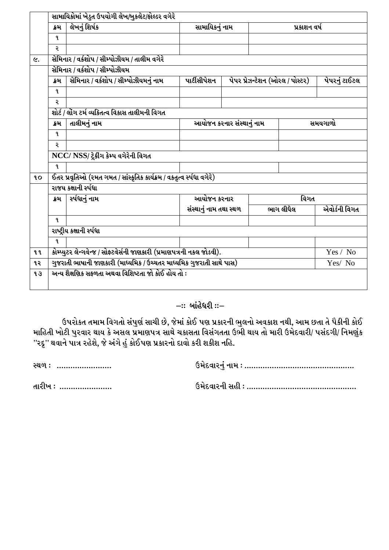|           | ક્રમ         | લેખનું શિર્ષક                                                          | સામાયિકનું નામ                    |                                                                      |                                 | પ્રકાશન વર્ષ |               |
|-----------|--------------|------------------------------------------------------------------------|-----------------------------------|----------------------------------------------------------------------|---------------------------------|--------------|---------------|
|           | ٩.           |                                                                        |                                   |                                                                      |                                 |              |               |
|           | ર            |                                                                        |                                   |                                                                      |                                 |              |               |
|           |              | સેમિનાર / વર્કશોપ / સીમ્પોઝીયમ / તાલીમ વગેરે                           |                                   |                                                                      |                                 |              |               |
|           |              | સેમિનાર / વર્કશોપ / સીમ્પોઝીયમ                                         |                                   |                                                                      |                                 |              |               |
|           | ક્રમ         | સેમિનાર / વર્કશોપ / સીમ્પોઝીયમનું નામ                                  | પાર્ટીસીપેશન                      |                                                                      | પેપર પ્રેઝન્ટેશન (ઓરલ / પોસ્ટર) |              | પેપરનું ટાઈટલ |
|           | $\mathbf{q}$ |                                                                        |                                   |                                                                      |                                 |              |               |
|           | ર            |                                                                        |                                   |                                                                      |                                 |              |               |
|           |              | શોર્ટ / લોંગ ટર્મ વ્યક્તિત્વ વિકાસ તાલીમની વિગત                        |                                   |                                                                      |                                 |              |               |
|           | ક્રમ         | તાલીમનું નામ                                                           | આયોજન કરનાર સંસ્થ <u>ાનું</u> નામ |                                                                      |                                 |              | સમયગાળો       |
|           | $\mathbf{q}$ |                                                                        |                                   |                                                                      |                                 |              |               |
|           | Ş            |                                                                        |                                   |                                                                      |                                 |              |               |
|           |              | NCC/ NSS/ ટ્રેકીંગ કેમ્પ વગેરેની વિગત                                  |                                   |                                                                      |                                 |              |               |
|           | L            |                                                                        |                                   |                                                                      |                                 |              |               |
|           |              | ઈતર પ્રવૃતિઓ (રમત ગમત / સાંસ્કૃતિક કાર્યક્રમ / વકતૃત્વ સ્પંધા વગેરે)   |                                   |                                                                      |                                 |              |               |
|           |              | રાજય કક્ષાની ર્સ્પધા                                                   |                                   |                                                                      |                                 |              |               |
|           | ક્રમ         | ર્સ્પદ્યાનું નામ                                                       | આયોજન કરનાર                       |                                                                      |                                 | વિગત         |               |
|           |              |                                                                        | સંસ્થાનું નામ તથા સ્થળ            |                                                                      | ભાગ લીધેલ                       |              | એવોર્ડની વિગત |
|           | ٩.           |                                                                        |                                   |                                                                      |                                 |              |               |
|           |              | રાષ્ટ્રીય કક્ષાની ર્સ્પધા                                              |                                   |                                                                      |                                 |              |               |
|           | ٩.           |                                                                        |                                   |                                                                      |                                 |              |               |
|           |              | કોમ્પ્યુટર લેન્ગવેન્જ / સોફ્ટવેર્સની જાણકારી (પ્રમાણપત્રની નકલ જોડવી). |                                   |                                                                      |                                 |              | Yes / No      |
| <b>99</b> |              |                                                                        |                                   | ગુજરાતી ભાષાની જાણકારી (માધ્યમિક / ઉચ્ચતર માધ્યમિક ગુજરાતી સાથે પાસ) |                                 |              |               |

#### *-*:: બાંહેધરી ::–

ઉપરોકત તમામ વિગતો સંપુર્ણ સાચી છે, જેમાં કોઈ પણ પ્રકારની ભુલનો અવકાશ નથી, આમ છતા તે પૈકીની કોઈ માહિતી ખોટી પુરવાર થાય કે અસલ પ્રમાણપત્ર સાથે ચકાસતા વિસંગતતા ઉભી થાય તો મારી ઉમેદવારી/ પસંદગી/ નિમણુંક ''રદ્દ'' થવાને પાત્ર રહેશે, જે અંગે હું કોઈપણ પ્રકારનો દાવો કરી શકીશ નહિ.

*:Y/ o PPPPPPPPPPPPPPPPPPPPPPPP pD[NJFZG]\ GFD o PPPPPPPPPPPPPPPPPPPPPPPPPPPPPPPPPPPPPPPPPPPPPPPP*

*TFZLB o PPPPPPPPPPPPPPPPPPPPPPP pD[NJFZGL ;CL o PPPPPPPPPPPPPPPPPPPPPPPPPPPPPPPPPPPPPPPPPPPPPPPP*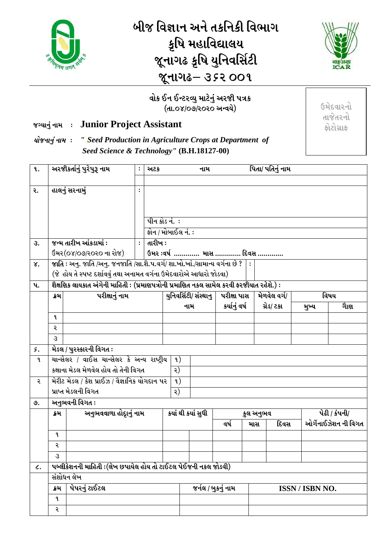

# <u>બીજ વિજ્ઞાન અને તકનિકી વિભાગ</u> કૃષિ મહાવિદ્યાલય *H}GFU- S'lQF I]lGJl;"8L*  <u>જૂનાગઢ– ૩૬૨ ૦૦૧</u>



#### વોક ઈન ઈન્ટરવ્યુ માટેનું અરજી પત્રક  $(dil.08/O92020$  અન્વયે)

#### *HuIFG] \ GFD o* **Junior Project Assistant**

*IMHGFG] \ GFD o " Seed Production in Agriculture Crops at Department of Seed Science & Technology"* **(B.H.18127-00)**

| ٩.             |                                                                              | અરજીકર્તાનું પુરેપુરૂ નામ                                                       |                  | અટક                                                                                      |                       |  | નામ           | પિતા/ પતિનું નામ     |            |                 |       |                      |                      |  |
|----------------|------------------------------------------------------------------------------|---------------------------------------------------------------------------------|------------------|------------------------------------------------------------------------------------------|-----------------------|--|---------------|----------------------|------------|-----------------|-------|----------------------|----------------------|--|
|                |                                                                              |                                                                                 |                  |                                                                                          |                       |  |               |                      |            |                 |       |                      |                      |  |
| ૨.             |                                                                              | હાલનું સરનામું                                                                  | $\ddot{\cdot}$   |                                                                                          |                       |  |               |                      |            |                 |       |                      |                      |  |
|                |                                                                              |                                                                                 |                  |                                                                                          |                       |  |               |                      |            |                 |       |                      |                      |  |
|                |                                                                              |                                                                                 |                  |                                                                                          | <u>પીન કોડ નં. :</u>  |  |               |                      |            |                 |       |                      |                      |  |
|                |                                                                              | <u> ફોન / મોબાઈલ નં. :</u>                                                      |                  |                                                                                          |                       |  |               |                      |            |                 |       |                      |                      |  |
| З.             |                                                                              | જન્મ તારીખ આંકડામાં :                                                           |                  | તારીખ $\colon$                                                                           |                       |  |               |                      |            |                 |       |                      |                      |  |
|                |                                                                              | ઉંમર(૦૪/૦૭/૨૦૨૦ ના રોજ)                                                         |                  |                                                                                          |                       |  |               | ઉમર ઃવર્ષ  માસ  દિવસ |            |                 |       |                      |                      |  |
| γ.             |                                                                              | જાતિ : અનુ. જાતિ /અનુ. જનજાતિ /સા.શૈ.પ.વર્ગ/ શા.ખો.ખાં./સામાન્ય વર્ગના છે ?   : |                  |                                                                                          |                       |  |               |                      |            |                 |       |                      |                      |  |
|                |                                                                              | (જે હોય તે સ્પષ્ટ દર્શાવવું તથા અનામત વર્ગના ઉમેદવારોએ આધારો જોડવા)             |                  |                                                                                          |                       |  |               |                      |            |                 |       |                      |                      |  |
| $\mathbf{u}$ . |                                                                              |                                                                                 |                  | શૈક્ષણિક લાયકાત અંગેની માહિતી : (પ્રમાણપત્રોની પ્રમાણિત નકલ સામેલ કરવી ફરજીયાત રહેશે.) : |                       |  |               |                      |            |                 |       |                      |                      |  |
|                | પરીક્ષાનું નામ<br>ક્રેમ                                                      |                                                                                 |                  |                                                                                          | યુનિવર્સિટી/ સંસ્થાનુ |  |               | પરીક્ષા પાસ          |            | મેળવેલ વર્ગ/    |       |                      | વિષય                 |  |
|                |                                                                              |                                                                                 |                  |                                                                                          | નામ                   |  | કર્યાનું વર્ષ |                      | ગ્રેડ/ ટકા |                 | મુખ્ય | ગાેણ                 |                      |  |
|                | L<br>२                                                                       |                                                                                 |                  |                                                                                          |                       |  |               |                      |            |                 |       |                      |                      |  |
|                | 3                                                                            |                                                                                 |                  |                                                                                          |                       |  |               |                      |            |                 |       |                      |                      |  |
| 5.             |                                                                              | મેડલ / પુરસ્કારની વિગત :                                                        |                  |                                                                                          |                       |  |               |                      |            |                 |       |                      |                      |  |
| L              |                                                                              | ચાન્સેલર / વાઈસ ચાન્સેલર કે અન્ય રાષ્ટ્રીય                                      | $\mathfrak{q}$ ) |                                                                                          |                       |  |               |                      |            |                 |       |                      |                      |  |
|                |                                                                              | કક્ષાના મેડલ મેળવેલ હોય તો તેની વિગત                                            |                  |                                                                                          | ર)                    |  |               |                      |            |                 |       |                      |                      |  |
| ર              | મેરીટ મેડલ / કેશ પ્રાઈઝ / વૈજ્ઞાનિક યોગદાન પર<br>પ્રાપ્ત મેડલની વિગત         |                                                                                 |                  | $\mathfrak{a}$ )                                                                         |                       |  |               |                      |            |                 |       |                      |                      |  |
|                |                                                                              |                                                                                 |                  | ર)                                                                                       |                       |  |               |                      |            |                 |       |                      |                      |  |
| <b>.</b>       |                                                                              | અનુભવની વિગત ઃ                                                                  |                  |                                                                                          |                       |  |               |                      |            |                 |       |                      |                      |  |
|                | ક્રમ                                                                         | અનુભવવાળા હોદૃાનું નામ                                                          |                  |                                                                                          | કયાં થી કયાં સુધી     |  |               | કુલ અનુભવ            |            |                 |       | <u>પેઢી / કંપની/</u> |                      |  |
|                |                                                                              |                                                                                 |                  |                                                                                          |                       |  |               | વર્ષ                 |            | માસ             | દિવસ  |                      | ઓર્ગેનાઈઝેશન ની વિગત |  |
|                | $\mathbf{q}$                                                                 |                                                                                 |                  |                                                                                          |                       |  |               |                      |            |                 |       |                      |                      |  |
|                | २                                                                            |                                                                                 |                  |                                                                                          |                       |  |               |                      |            |                 |       |                      |                      |  |
|                | 3                                                                            |                                                                                 |                  |                                                                                          |                       |  |               |                      |            |                 |       |                      |                      |  |
| L.             | પબ્લીકેશનની માહિતી :(લેખ છપાયેલ હોય તો ટાઈટલ પેઈજની નકલ જોડવી)<br>સંશોધન લેખ |                                                                                 |                  |                                                                                          |                       |  |               |                      |            |                 |       |                      |                      |  |
|                |                                                                              |                                                                                 |                  | જર્નલ / બુકનું નામ                                                                       |                       |  |               |                      |            |                 |       |                      |                      |  |
|                | L                                                                            | પેપરનું ટાઈટલ<br>ક્રમ                                                           |                  |                                                                                          |                       |  |               |                      |            | ISSN / ISBN NO. |       |                      |                      |  |
|                | ર                                                                            |                                                                                 |                  |                                                                                          |                       |  |               |                      |            |                 |       |                      |                      |  |
|                |                                                                              |                                                                                 |                  |                                                                                          |                       |  |               |                      |            |                 |       |                      |                      |  |

 $6$ મેદવારનો તાજેતરનો *OM8MU|FO*